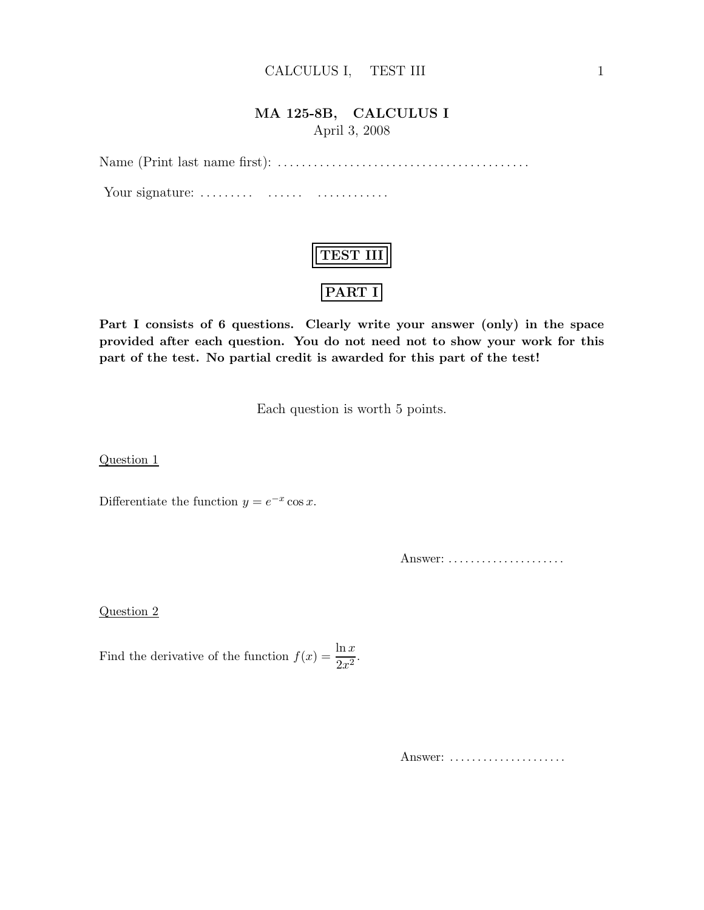## MA 125-8B, CALCULUS I April 3, 2008

Name (Print last name first): . . .. . .. . . . . .. . .. . .. . .. . .. . .. . .. . .. . .. . . . . .

Your signature: . . .. . .. . . . . .. . . . . .. . .. . .. . .

| 55T |
|-----|
| יי. |

Part I consists of 6 questions. Clearly write your answer (only) in the space provided after each question. You do not need not to show your work for this part of the test. No partial credit is awarded for this part of the test!

Each question is worth 5 points.

Question 1

Differentiate the function  $y = e^{-x} \cos x$ .

Answer: . . . . . . . . . . . . . . . . . . . . .

Question 2

Find the derivative of the function  $f(x) = \frac{\ln x}{2x^2}$ .

Answer: ......................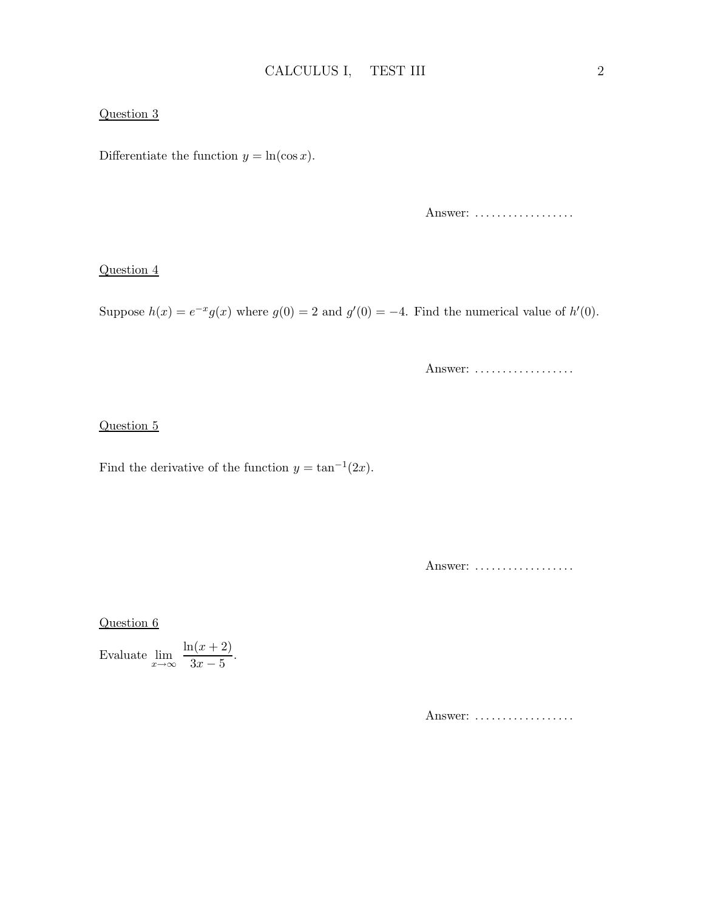### Question 3

Differentiate the function  $y = \ln(\cos x)$ .

Answer: ...................

#### Question 4

Suppose  $h(x) = e^{-x}g(x)$  where  $g(0) = 2$  and  $g'(0) = -4$ . Find the numerical value of  $h'(0)$ .

Answer: ...................

### Question 5

Find the derivative of the function  $y = \tan^{-1}(2x)$ .

Answer: ...................

Question 6

Evaluate  $\lim_{x\to\infty} \frac{\ln(x+2)}{3x-5}$  $\frac{2(x+2)}{3x-5}$ .

Answer: ..................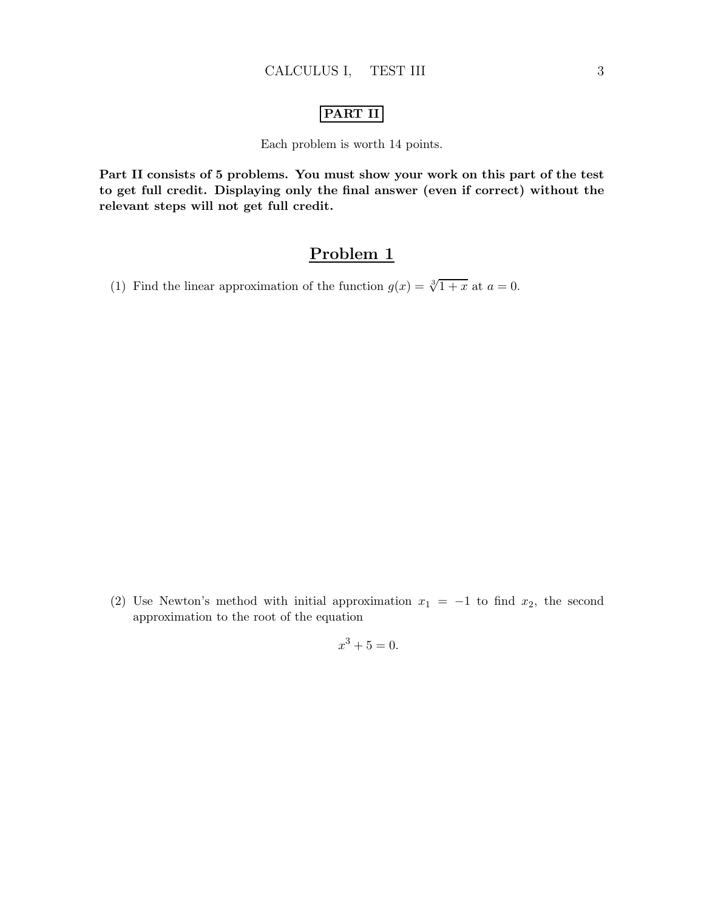### PART II

Each problem is worth 14 points.

Part II consists of 5 problems. You must show your work on this part of the test to get full credit. Displaying only the final answer (even if correct) without the relevant steps will not get full credit.

## Problem 1

(1) Find the linear approximation of the function  $g(x) = \sqrt[3]{1+x}$  at  $a = 0$ .

(2) Use Newton's method with initial approximation  $x_1 = -1$  to find  $x_2$ , the second approximation to the root of the equation

$$
x^3 + 5 = 0.
$$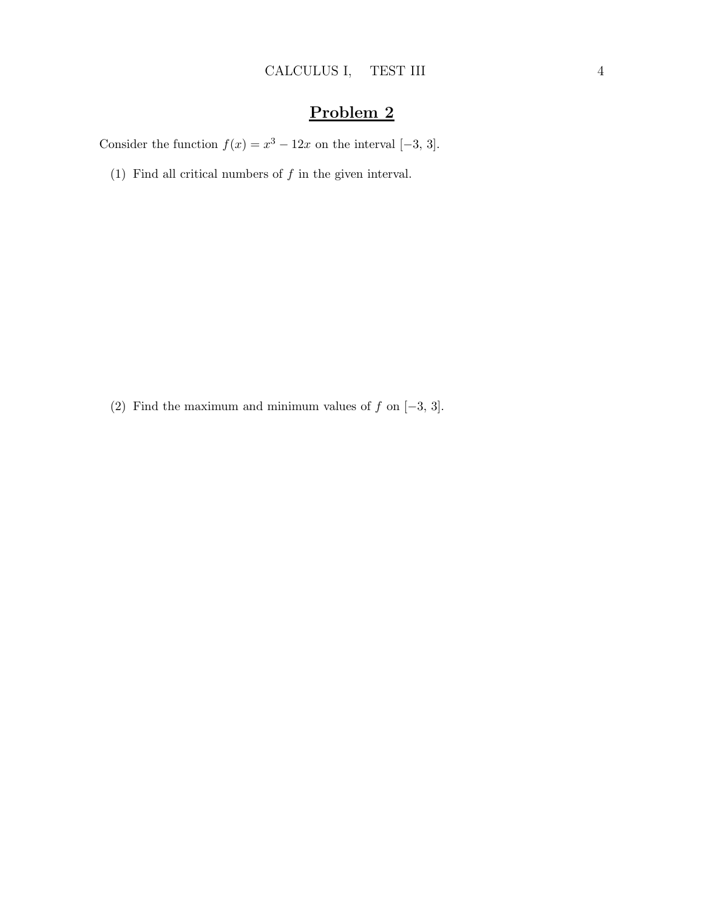Consider the function  $f(x) = x^3 - 12x$  on the interval [-3, 3].

(1) Find all critical numbers of  $f$  in the given interval.

(2) Find the maximum and minimum values of  $f$  on  $[-3, 3]$ .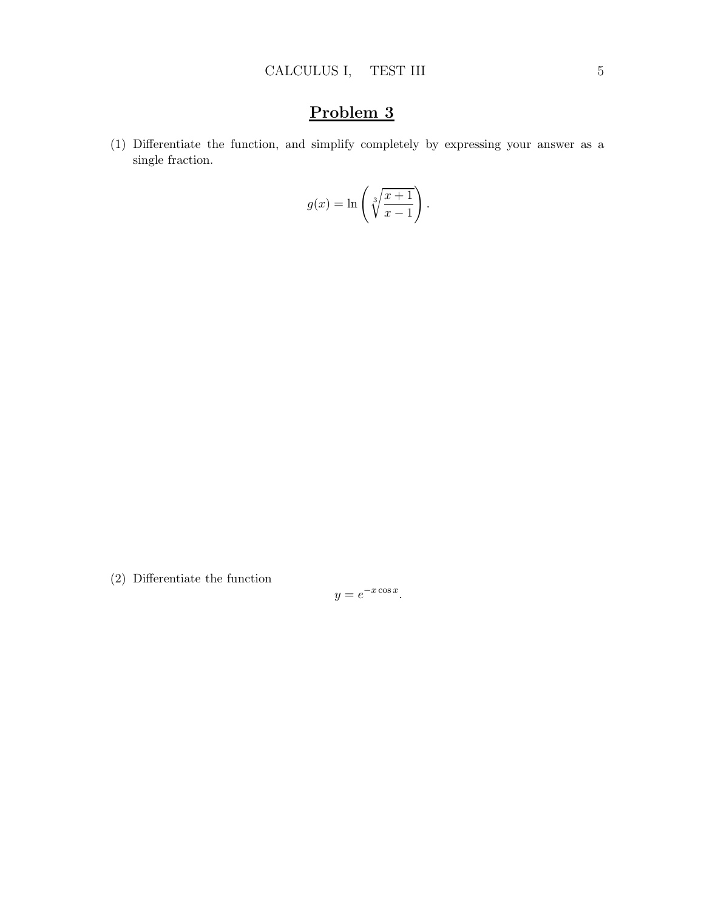(1) Differentiate the function, and simplify completely by expressing your answer as a single fraction.

$$
g(x) = \ln\left(\sqrt[3]{\frac{x+1}{x-1}}\right).
$$

(2) Differentiate the function

$$
y = e^{-x \cos x}.
$$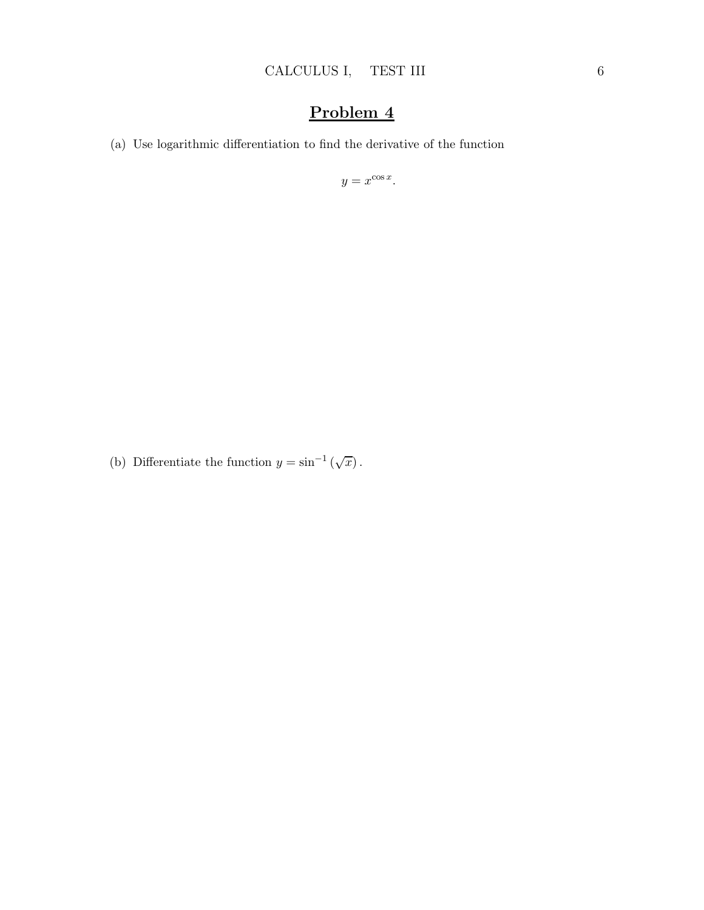(a) Use logarithmic differentiation to find the derivative of the function

 $y = x^{\cos x}$ .

(b) Differentiate the function  $y = \sin^{-1}(\sqrt{x})$ .